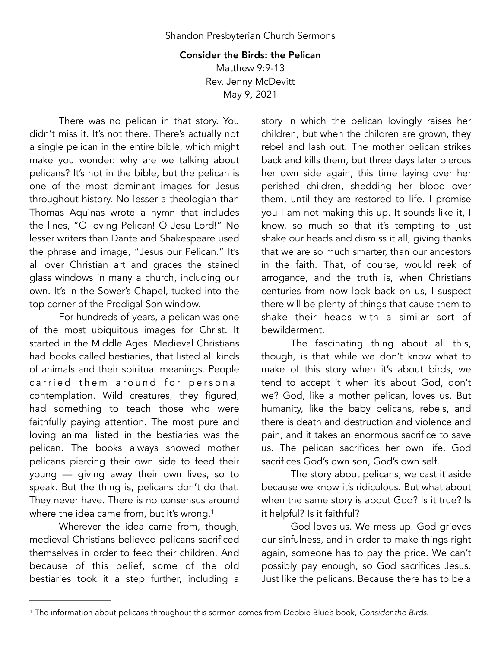## Consider the Birds: the Pelican

Matthew 9:9-13 Rev. Jenny McDevitt May 9, 2021

There was no pelican in that story. You didn't miss it. It's not there. There's actually not a single pelican in the entire bible, which might make you wonder: why are we talking about pelicans? It's not in the bible, but the pelican is one of the most dominant images for Jesus throughout history. No lesser a theologian than Thomas Aquinas wrote a hymn that includes the lines, "O loving Pelican! O Jesu Lord!" No lesser writers than Dante and Shakespeare used the phrase and image, "Jesus our Pelican." It's all over Christian art and graces the stained glass windows in many a church, including our own. It's in the Sower's Chapel, tucked into the top corner of the Prodigal Son window.

For hundreds of years, a pelican was one of the most ubiquitous images for Christ. It started in the Middle Ages. Medieval Christians had books called bestiaries, that listed all kinds of animals and their spiritual meanings. People carried them around for personal contemplation. Wild creatures, they figured, had something to teach those who were faithfully paying attention. The most pure and loving animal listed in the bestiaries was the pelican. The books always showed mother pelicans piercing their own side to feed their young — giving away their own lives, so to speak. But the thing is, pelicans don't do that. They never have. There is no consensus around where the idea came from, but it's wrong.<sup>[1](#page-0-0)</sup>

Wherever the idea came from, though, medieval Christians believed pelicans sacrificed themselves in order to feed their children. And because of this belief, some of the old bestiaries took it a step further, including a story in which the pelican lovingly raises her children, but when the children are grown, they rebel and lash out. The mother pelican strikes back and kills them, but three days later pierces her own side again, this time laying over her perished children, shedding her blood over them, until they are restored to life. I promise you I am not making this up. It sounds like it, I know, so much so that it's tempting to just shake our heads and dismiss it all, giving thanks that we are so much smarter, than our ancestors in the faith. That, of course, would reek of arrogance, and the truth is, when Christians centuries from now look back on us, I suspect there will be plenty of things that cause them to shake their heads with a similar sort of bewilderment.

The fascinating thing about all this, though, is that while we don't know what to make of this story when it's about birds, we tend to accept it when it's about God, don't we? God, like a mother pelican, loves us. But humanity, like the baby pelicans, rebels, and there is death and destruction and violence and pain, and it takes an enormous sacrifice to save us. The pelican sacrifices her own life. God sacrifices God's own son, God's own self.

The story about pelicans, we cast it aside because we know it's ridiculous. But what about when the same story is about God? Is it true? Is it helpful? Is it faithful?

<span id="page-0-1"></span>God loves us. We mess up. God grieves our sinfulness, and in order to make things right again, someone has to pay the price. We can't possibly pay enough, so God sacrifices Jesus. Just like the pelicans. Because there has to be a

<span id="page-0-0"></span>The information about pelicans throughout this sermon comes from Debbie Blue's book, *Consider the Birds*. [1](#page-0-1)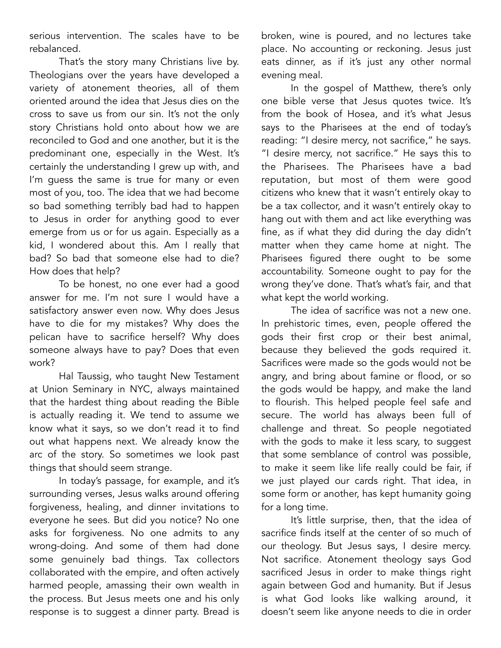serious intervention. The scales have to be rebalanced.

That's the story many Christians live by. Theologians over the years have developed a variety of atonement theories, all of them oriented around the idea that Jesus dies on the cross to save us from our sin. It's not the only story Christians hold onto about how we are reconciled to God and one another, but it is the predominant one, especially in the West. It's certainly the understanding I grew up with, and I'm guess the same is true for many or even most of you, too. The idea that we had become so bad something terribly bad had to happen to Jesus in order for anything good to ever emerge from us or for us again. Especially as a kid, I wondered about this. Am I really that bad? So bad that someone else had to die? How does that help?

To be honest, no one ever had a good answer for me. I'm not sure I would have a satisfactory answer even now. Why does Jesus have to die for my mistakes? Why does the pelican have to sacrifice herself? Why does someone always have to pay? Does that even work?

Hal Taussig, who taught New Testament at Union Seminary in NYC, always maintained that the hardest thing about reading the Bible is actually reading it. We tend to assume we know what it says, so we don't read it to find out what happens next. We already know the arc of the story. So sometimes we look past things that should seem strange.

In today's passage, for example, and it's surrounding verses, Jesus walks around offering forgiveness, healing, and dinner invitations to everyone he sees. But did you notice? No one asks for forgiveness. No one admits to any wrong-doing. And some of them had done some genuinely bad things. Tax collectors collaborated with the empire, and often actively harmed people, amassing their own wealth in the process. But Jesus meets one and his only response is to suggest a dinner party. Bread is broken, wine is poured, and no lectures take place. No accounting or reckoning. Jesus just eats dinner, as if it's just any other normal evening meal.

In the gospel of Matthew, there's only one bible verse that Jesus quotes twice. It's from the book of Hosea, and it's what Jesus says to the Pharisees at the end of today's reading: "I desire mercy, not sacrifice," he says. "I desire mercy, not sacrifice." He says this to the Pharisees. The Pharisees have a bad reputation, but most of them were good citizens who knew that it wasn't entirely okay to be a tax collector, and it wasn't entirely okay to hang out with them and act like everything was fine, as if what they did during the day didn't matter when they came home at night. The Pharisees figured there ought to be some accountability. Someone ought to pay for the wrong they've done. That's what's fair, and that what kept the world working.

The idea of sacrifice was not a new one. In prehistoric times, even, people offered the gods their first crop or their best animal, because they believed the gods required it. Sacrifices were made so the gods would not be angry, and bring about famine or flood, or so the gods would be happy, and make the land to flourish. This helped people feel safe and secure. The world has always been full of challenge and threat. So people negotiated with the gods to make it less scary, to suggest that some semblance of control was possible, to make it seem like life really could be fair, if we just played our cards right. That idea, in some form or another, has kept humanity going for a long time.

It's little surprise, then, that the idea of sacrifice finds itself at the center of so much of our theology. But Jesus says, I desire mercy. Not sacrifice. Atonement theology says God sacrificed Jesus in order to make things right again between God and humanity. But if Jesus is what God looks like walking around, it doesn't seem like anyone needs to die in order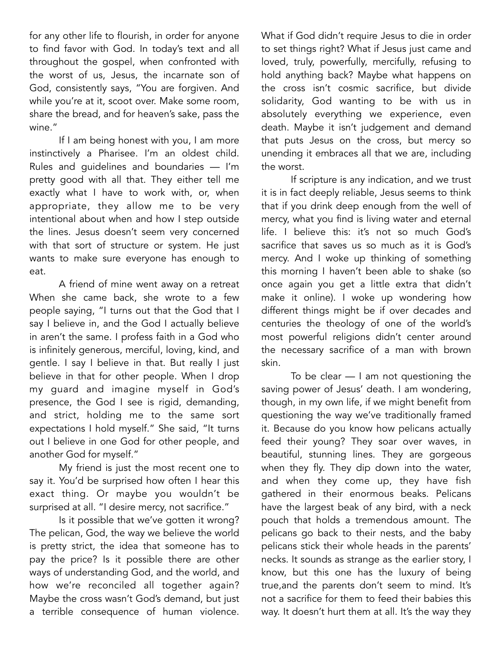for any other life to flourish, in order for anyone to find favor with God. In today's text and all throughout the gospel, when confronted with the worst of us, Jesus, the incarnate son of God, consistently says, "You are forgiven. And while you're at it, scoot over. Make some room, share the bread, and for heaven's sake, pass the wine."

If I am being honest with you, I am more instinctively a Pharisee. I'm an oldest child. Rules and guidelines and boundaries — I'm pretty good with all that. They either tell me exactly what I have to work with, or, when appropriate, they allow me to be very intentional about when and how I step outside the lines. Jesus doesn't seem very concerned with that sort of structure or system. He just wants to make sure everyone has enough to eat.

A friend of mine went away on a retreat When she came back, she wrote to a few people saying, "I turns out that the God that I say I believe in, and the God I actually believe in aren't the same. I profess faith in a God who is infinitely generous, merciful, loving, kind, and gentle. I say I believe in that. But really I just believe in that for other people. When I drop my guard and imagine myself in God's presence, the God I see is rigid, demanding, and strict, holding me to the same sort expectations I hold myself." She said, "It turns out I believe in one God for other people, and another God for myself."

My friend is just the most recent one to say it. You'd be surprised how often I hear this exact thing. Or maybe you wouldn't be surprised at all. "I desire mercy, not sacrifice."

Is it possible that we've gotten it wrong? The pelican, God, the way we believe the world is pretty strict, the idea that someone has to pay the price? Is it possible there are other ways of understanding God, and the world, and how we're reconciled all together again? Maybe the cross wasn't God's demand, but just a terrible consequence of human violence.

What if God didn't require Jesus to die in order to set things right? What if Jesus just came and loved, truly, powerfully, mercifully, refusing to hold anything back? Maybe what happens on the cross isn't cosmic sacrifice, but divide solidarity, God wanting to be with us in absolutely everything we experience, even death. Maybe it isn't judgement and demand that puts Jesus on the cross, but mercy so unending it embraces all that we are, including the worst.

If scripture is any indication, and we trust it is in fact deeply reliable, Jesus seems to think that if you drink deep enough from the well of mercy, what you find is living water and eternal life. I believe this: it's not so much God's sacrifice that saves us so much as it is God's mercy. And I woke up thinking of something this morning I haven't been able to shake (so once again you get a little extra that didn't make it online). I woke up wondering how different things might be if over decades and centuries the theology of one of the world's most powerful religions didn't center around the necessary sacrifice of a man with brown skin.

To be clear — I am not questioning the saving power of Jesus' death. I am wondering, though, in my own life, if we might benefit from questioning the way we've traditionally framed it. Because do you know how pelicans actually feed their young? They soar over waves, in beautiful, stunning lines. They are gorgeous when they fly. They dip down into the water, and when they come up, they have fish gathered in their enormous beaks. Pelicans have the largest beak of any bird, with a neck pouch that holds a tremendous amount. The pelicans go back to their nests, and the baby pelicans stick their whole heads in the parents' necks. It sounds as strange as the earlier story, I know, but this one has the luxury of being true,and the parents don't seem to mind. It's not a sacrifice for them to feed their babies this way. It doesn't hurt them at all. It's the way they